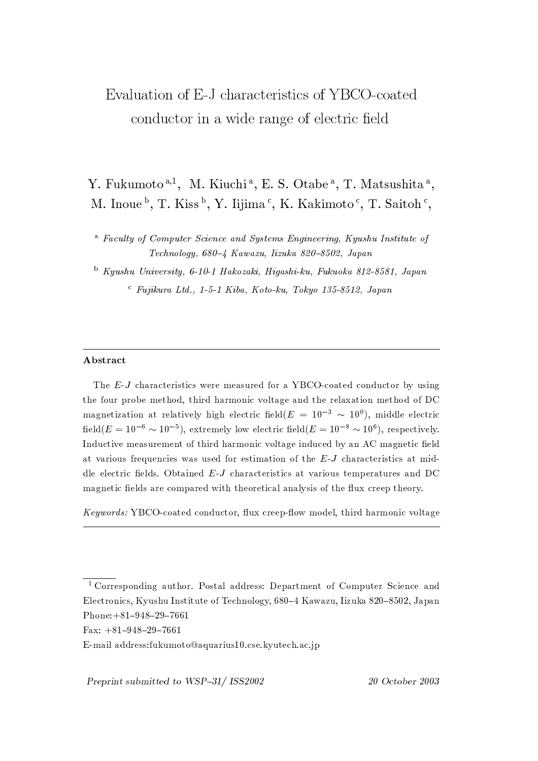# Evaluation of E-J characteristics of YBCO-coated conductor in a wide range of electric field

Y. Fukumoto<sup>a,1</sup>, M. Kiuchi<sup>a</sup>, E. S. Otabe<sup>a</sup>, T. Matsushita<sup>a</sup>, M. Inoue<sup>b</sup>, T. Kiss<sup>b</sup>, Y. Iijima<sup>c</sup>, K. Kakimoto<sup>c</sup>, T. Saitoh<sup>c</sup>,

<sup>a</sup> Faculty of Computer Science and Systems Engineering, Kyushu Institute of Technology, 680-4 Kawazu, Iizuka 820-8502, Japan

 $b$  Kyushu University, 6-10-1 Hakozaki, Higashi-ku, Fukuoka 812-8581, Japan  $\epsilon$  Fujikura Ltd., 1-5-1 Kiba, Koto-ku, Tokyo 135-8512, Japan

## Abstract

The E-J characteristics were measured for a YBCO-coated conductor by using the four probe method, third harmonic voltage and the relaxation method of DC magnetization at relatively high electric field( $E = 10^{-3} \sim 10^{0}$ ), middle electric field( $E = 10^{-6} \sim 10^{-5}$ ), extremely low electric field( $E = 10^{-8} \sim 10^6$ ), respectively. Inductive measurement of third harmonic voltage induced by an AC magnetic field at various frequencies was used for estimation of the  $E-J$  characteristics at middle electric fields. Obtained  $E-J$  characteristics at various temperatures and DC magnetic fields are compared with theoretical analysis of the flux creep theory.

Keywords: YBCO-coated conductor, flux creep-flow model, third harmonic voltage

Preprint submitted to WSP-31/ ISS2002

 $\overline{1 \text{ Corresponding}}$  author. Postal address: Department of Computer Science and Electronics, Kyushu Institute of Technology, 680–4 Kawazu, Iizuka 820–8502, Japan Phone: +81-948-29-7661

Fax:  $+81-948-29-7661$ 

E-mail address:fukumoto@aquarius10.cse.kyutech.ac.jp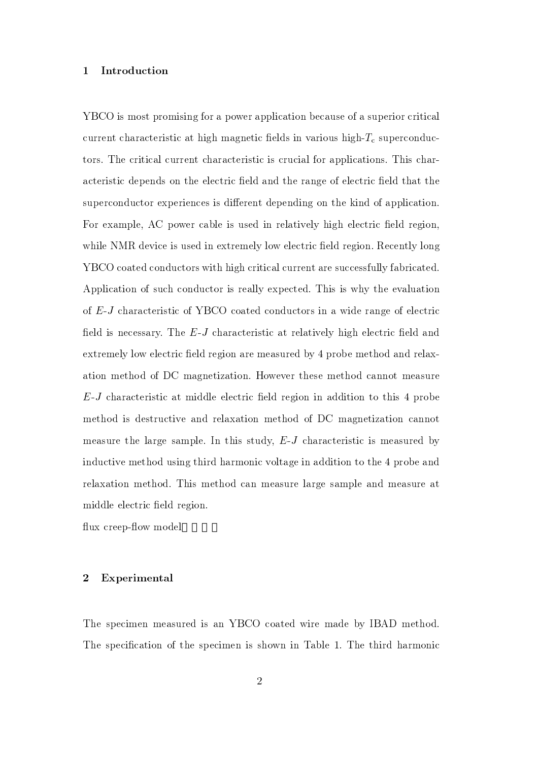#### Introduction  $\mathbf{1}$

YBCO is most promising for a power application because of a superior critical current characteristic at high magnetic fields in various high- $T_c$  superconductors. The critical current characteristic is crucial for applications. This characteristic depends on the electric field and the range of electric field that the superconductor experiences is different depending on the kind of application. For example, AC power cable is used in relatively high electric field region, while NMR device is used in extremely low electric field region. Recently long YBCO coated conductors with high critical current are successfully fabricated. Application of such conductor is really expected. This is why the evaluation of E-J characteristic of YBCO coated conductors in a wide range of electric field is necessary. The E-J characteristic at relatively high electric field and extremely low electric field region are measured by 4 probe method and relaxation method of DC magnetization. However these method cannot measure  $E$ -J characteristic at middle electric field region in addition to this 4 probe method is destructive and relaxation method of DC magnetization cannot measure the large sample. In this study,  $E-J$  characteristic is measured by inductive method using third harmonic voltage in addition to the 4 probe and relaxation method. This method can measure large sample and measure at middle electric field region.

flux creep-flow model

### $\overline{2}$ Experimental

The specimen measured is an YBCO coated wire made by IBAD method. The specification of the specimen is shown in Table 1. The third harmonic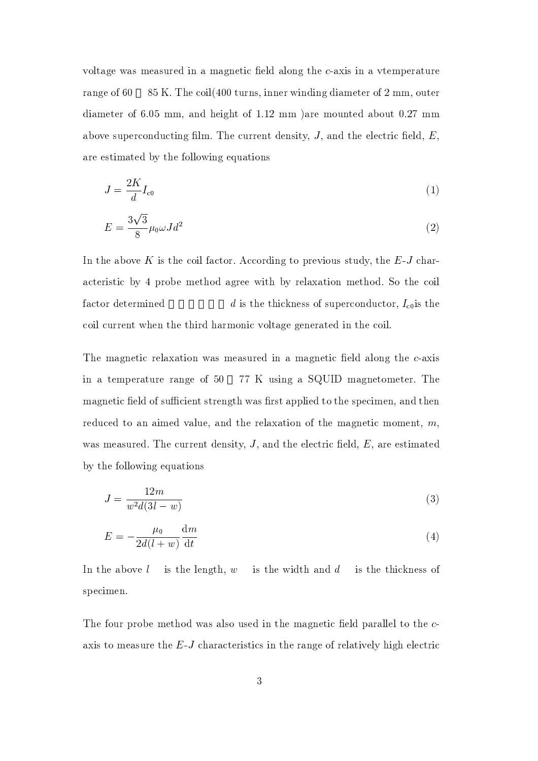voltage was measured in a magnetic field along the c-axis in a vemperature range of 60 85 K. The coil (400 turns, inner winding diameter of 2 mm, outer diameter of 6.05 mm, and height of 1.12 mm ) are mounted about 0.27 mm above superconducting film. The current density,  $J$ , and the electric field,  $E$ , are estimated by the following equations

$$
J = \frac{2K}{d}I_{c0} \tag{1}
$$

$$
E = \frac{3\sqrt{3}}{8}\mu_0 \omega J d^2 \tag{2}
$$

In the above  $K$  is the coil factor. According to previous study, the  $E-J$  characteristic by 4 probe method agree with by relaxation method. So the coil factor determined d is the thickness of superconductor,  $I_{\text{c}0}$  is the coil current when the third harmonic voltage generated in the coil.

The magnetic relaxation was measured in a magnetic field along the c-axis in a temperature range of 50 77 K using a SQUID magnetometer. The magnetic field of sufficient strength was first applied to the specimen, and then reduced to an aimed value, and the relaxation of the magnetic moment,  $m$ , was measured. The current density,  $J$ , and the electric field,  $E$ , are estimated by the following equations

$$
J = \frac{12m}{w^2 d(3l - w)}\tag{3}
$$

$$
E = -\frac{\mu_0}{2d(l+w)}\frac{\mathrm{d}m}{\mathrm{d}t} \tag{4}
$$

In the above  $l$ is the length,  $w$  is the width and  $d$  is the thickness of specimen.

The four probe method was also used in the magnetic field parallel to the caxis to measure the  $E$ -J characteristics in the range of relatively high electric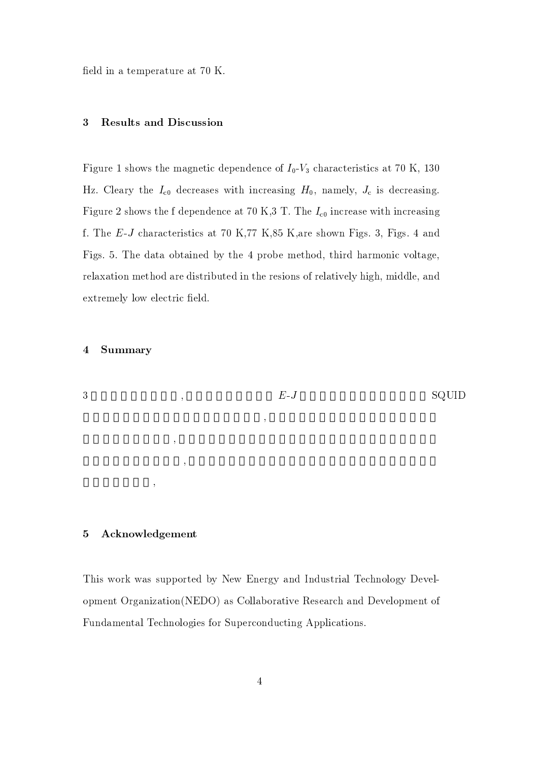de la construcción de la construcción de la construcción de la construcción de la construcción de la construcc

 $-$  -0  $\ldots$  , and the complete state of  $\mathbb{R}^n$  . The continuous state of  $\mathbb{R}^n$  and  $\mathbb{R}^n$ Hz. Cleary the  $I_{c0}$  decreases with increasing  $H_0$ , namely,  $J_c$  is decreasing. 
.  60 3!9   f. The E-J characteristics at 70 K,77 K,85 K, are shown Figs. 3, Figs. 4 and Figs. 5. The data obtained by the 4 probe method, third harmonic voltage, relaxation method are distributed in the resions of relatively high, middle, and extremely low electric field.

## 4 Summary



## 5 Acknowledgement

 $+$  1  $+$  2  $+$  1  $+$  2  $+$  1  $+$  1  $+$  1  $+$  1  $+$  1  $+$  1  $+$  1  $+$  1  $+$  1  $+$  1  $+$  1  $+$  1  $+$  1  $+$  1  $+$  1  $+$  1  $+$  1  $+$  1  $+$  1  $+$  1  $+$  1  $+$  1  $+$  1  $+$  1  $+$  1  $+$  1  $+$  1  $+$  1  $+$  1  $+$  1  $+$  1  $+$  1  $+$  1  $\blacksquare$  
 :  
"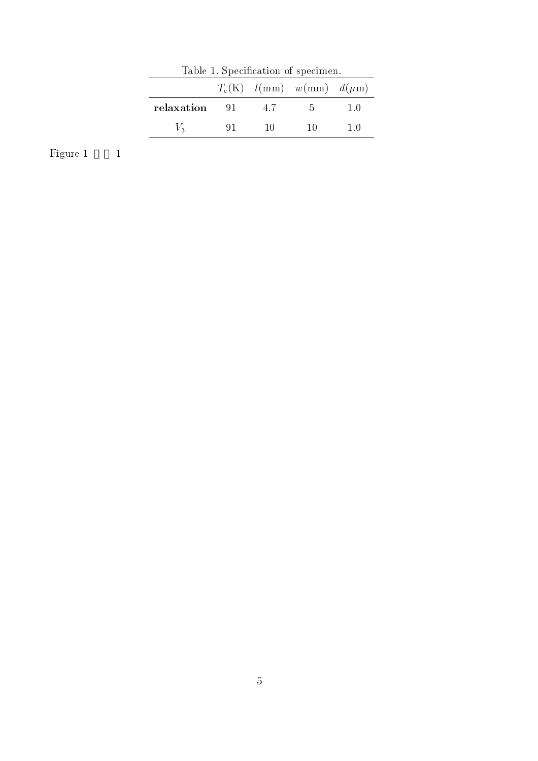| Table 1. Specification of specimen. |      |     |                                     |     |
|-------------------------------------|------|-----|-------------------------------------|-----|
|                                     |      |     | $T_c(K)$ $l(mm)$ $w(mm)$ $d(\mu m)$ |     |
| relaxation                          | - 91 | 4.7 | -5.                                 | 1 O |
| $V_2$                               | 91.  | 10  | 10                                  | 10  |

Figure 1  $1$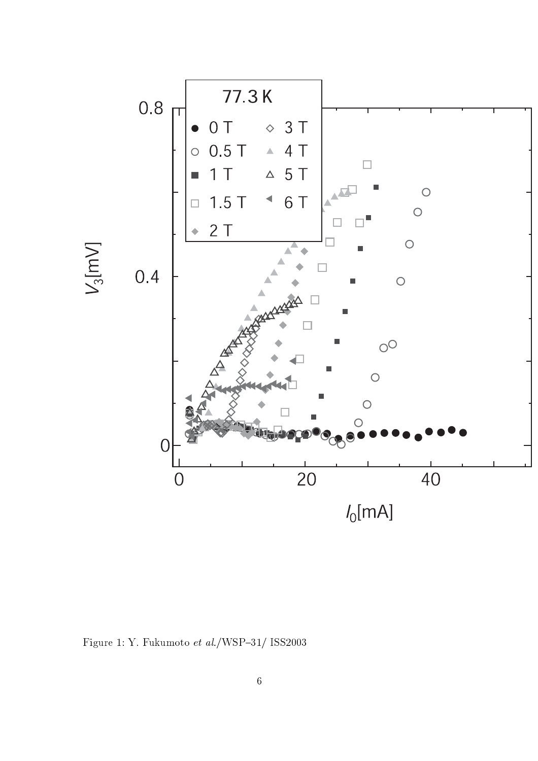

Figure 1: Y. Fukumoto et al./WSP-31/ ISS2003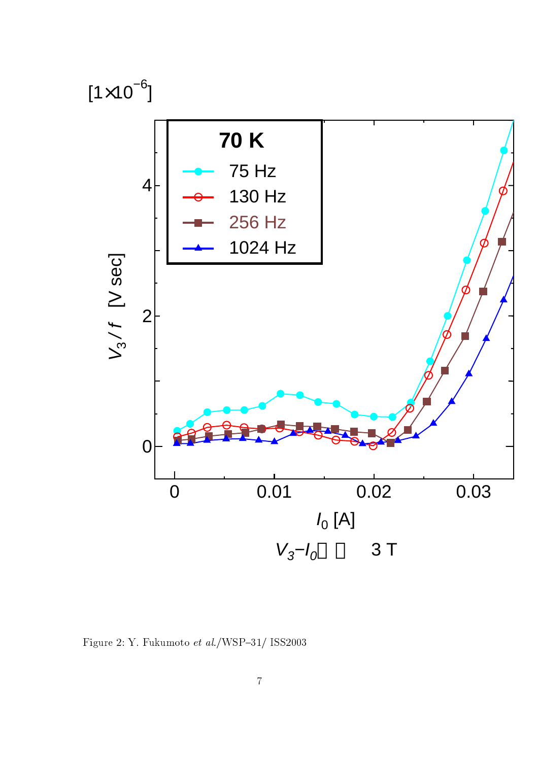

.A - BC:DE9-B +::.009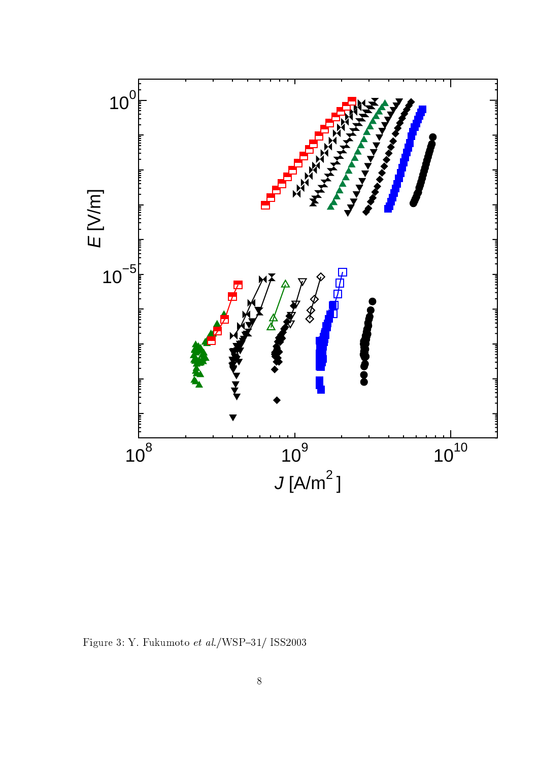

Figure 3: Y. Fukumoto  $et~al./\text{WSP}-31/$  ISS2003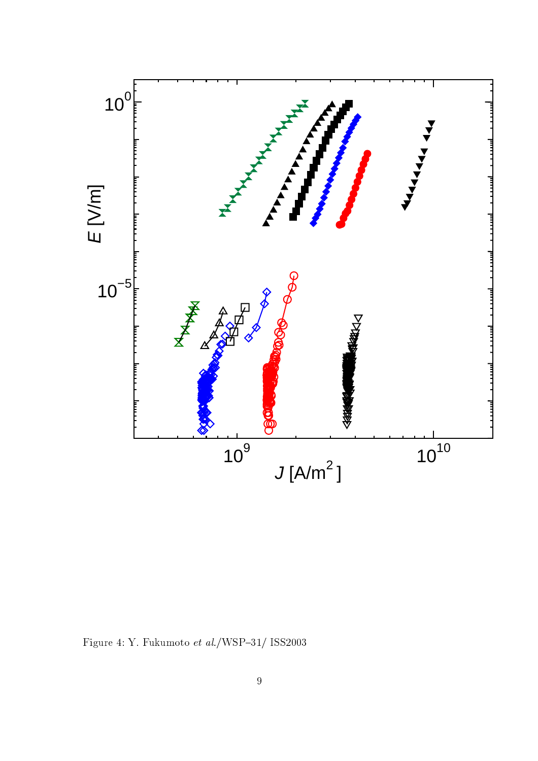

Figure 4: Y. Fukumoto  $et~al./\text{WSP}-31/$  ISS2003